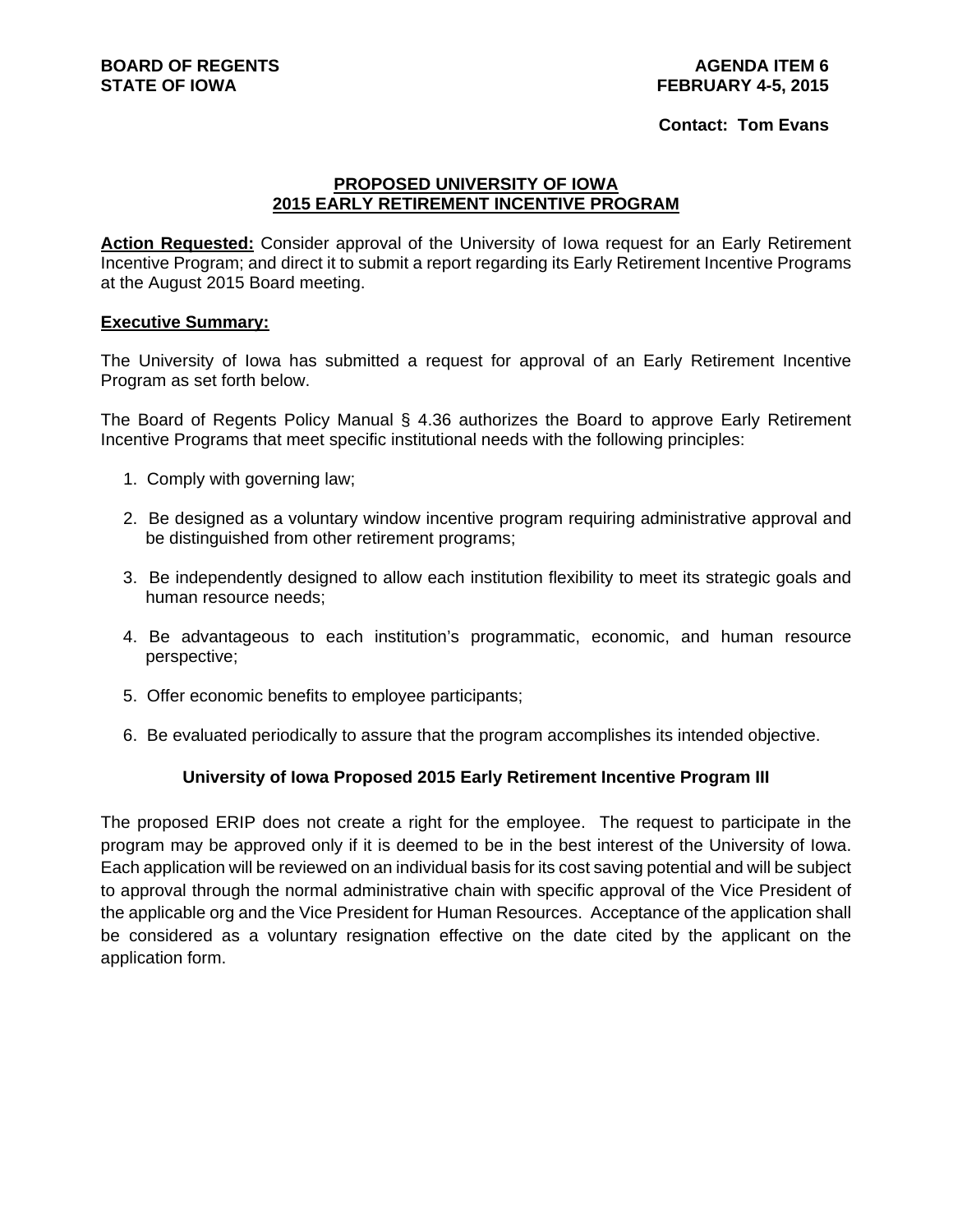#### **Contact: Tom Evans**

#### **PROPOSED UNIVERSITY OF IOWA 2015 EARLY RETIREMENT INCENTIVE PROGRAM**

**Action Requested:** Consider approval of the University of Iowa request for an Early Retirement Incentive Program; and direct it to submit a report regarding its Early Retirement Incentive Programs at the August 2015 Board meeting.

#### **Executive Summary:**

The University of Iowa has submitted a request for approval of an Early Retirement Incentive Program as set forth below.

The Board of Regents Policy Manual § 4.36 authorizes the Board to approve Early Retirement Incentive Programs that meet specific institutional needs with the following principles:

- 1. Comply with governing law;
- 2. Be designed as a voluntary window incentive program requiring administrative approval and be distinguished from other retirement programs;
- 3. Be independently designed to allow each institution flexibility to meet its strategic goals and human resource needs;
- 4. Be advantageous to each institution's programmatic, economic, and human resource perspective;
- 5. Offer economic benefits to employee participants;
- 6. Be evaluated periodically to assure that the program accomplishes its intended objective.

#### **University of Iowa Proposed 2015 Early Retirement Incentive Program III**

The proposed ERIP does not create a right for the employee. The request to participate in the program may be approved only if it is deemed to be in the best interest of the University of Iowa. Each application will be reviewed on an individual basis for its cost saving potential and will be subject to approval through the normal administrative chain with specific approval of the Vice President of the applicable org and the Vice President for Human Resources. Acceptance of the application shall be considered as a voluntary resignation effective on the date cited by the applicant on the application form.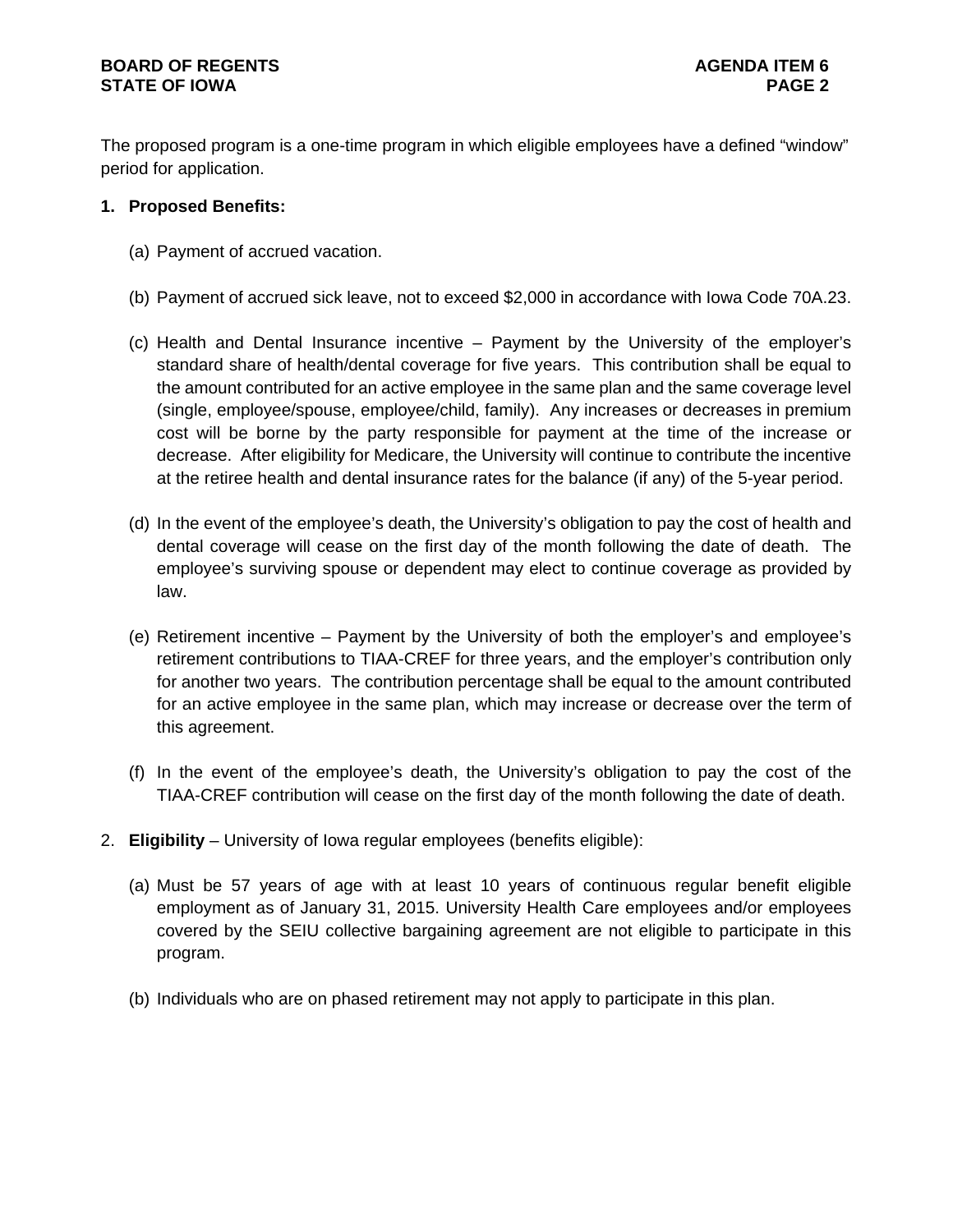## **BOARD OF REGENTS AGENTS** AGENDA ITEM 6 **STATE OF IOWA** PAGE 2

The proposed program is a one-time program in which eligible employees have a defined "window" period for application.

# **1. Proposed Benefits:**

- (a) Payment of accrued vacation.
- (b) Payment of accrued sick leave, not to exceed \$2,000 in accordance with Iowa Code 70A.23.
- (c) Health and Dental Insurance incentive Payment by the University of the employer's standard share of health/dental coverage for five years. This contribution shall be equal to the amount contributed for an active employee in the same plan and the same coverage level (single, employee/spouse, employee/child, family). Any increases or decreases in premium cost will be borne by the party responsible for payment at the time of the increase or decrease. After eligibility for Medicare, the University will continue to contribute the incentive at the retiree health and dental insurance rates for the balance (if any) of the 5-year period.
- (d) In the event of the employee's death, the University's obligation to pay the cost of health and dental coverage will cease on the first day of the month following the date of death. The employee's surviving spouse or dependent may elect to continue coverage as provided by law.
- (e) Retirement incentive Payment by the University of both the employer's and employee's retirement contributions to TIAA-CREF for three years, and the employer's contribution only for another two years. The contribution percentage shall be equal to the amount contributed for an active employee in the same plan, which may increase or decrease over the term of this agreement.
- (f) In the event of the employee's death, the University's obligation to pay the cost of the TIAA-CREF contribution will cease on the first day of the month following the date of death.
- 2. **Eligibility** University of Iowa regular employees (benefits eligible):
	- (a) Must be 57 years of age with at least 10 years of continuous regular benefit eligible employment as of January 31, 2015. University Health Care employees and/or employees covered by the SEIU collective bargaining agreement are not eligible to participate in this program.
	- (b) Individuals who are on phased retirement may not apply to participate in this plan.